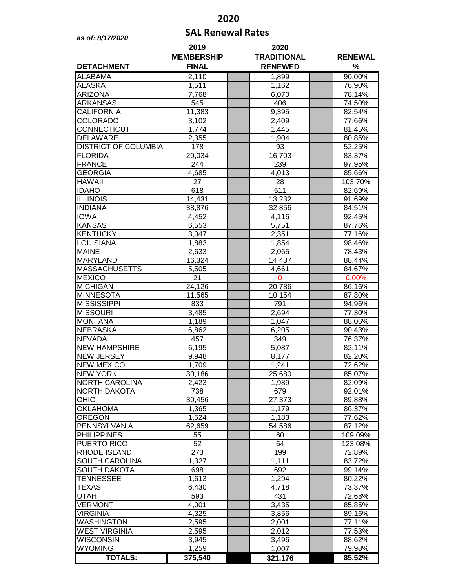## **2020**

## **SAL Renewal Rates** *as of: 8/17/2020*

| <b>DETACHMENT</b>           | 2019<br><b>MEMBERSHIP</b><br><b>FINAL</b> | 2020<br><b>TRADITIONAL</b><br><b>RENEWED</b> | <b>RENEWAL</b><br>% |                  |
|-----------------------------|-------------------------------------------|----------------------------------------------|---------------------|------------------|
| <b>ALABAMA</b>              | 2,110                                     | 1,899                                        |                     | 90.00%           |
| ALASKA                      | 1,511                                     | 1,162                                        |                     | 76.90%           |
| <b>ARIZONA</b>              | 7,768                                     | 6,070                                        |                     | 78.14%           |
| <b>ARKANSAS</b>             | 545                                       | 406                                          |                     | 74.50%           |
| <b>CALIFORNIA</b>           | 11,383                                    | 9,395                                        |                     | 82.54%           |
| <b>COLORADO</b>             | 3,102                                     | 2,409                                        |                     | 77.66%           |
| CONNECTICUT                 | 1,774                                     | 1,445                                        |                     | 81.45%           |
| <b>DELAWARE</b>             | $\overline{2,}355$                        | 1,904                                        |                     | 80.85%           |
| <b>DISTRICT OF COLUMBIA</b> | 178                                       | 93                                           |                     | 52.25%           |
| <b>FLORIDA</b>              | 20,034                                    | 16,703                                       |                     | 83.37%           |
| <b>FRANCE</b>               | 244                                       | 239                                          |                     | 97.95%           |
| <b>GEORGIA</b>              | 4,685                                     | 4,013                                        |                     | 85.66%           |
| <b>HAWAII</b>               | $\overline{27}$                           | 28                                           |                     | 103.70%          |
| <b>IDAHO</b>                | 618                                       | 511                                          |                     | 82.69%           |
| <b>ILLINOIS</b>             | 14,431                                    | 13,232                                       |                     | 91.69%           |
| <b>INDIANA</b>              | 38,876                                    | 32,856                                       |                     | 84.51%           |
| <b>IOWA</b>                 | 4,452                                     | 4,116                                        |                     | 92.45%           |
| <b>KANSAS</b>               | 6,553                                     | 5,751                                        |                     | 87.76%           |
| <b>KENTUCKY</b>             | 3,047                                     | 2,351                                        |                     | 77.16%           |
| LOUISIANA                   | 1,883                                     | 1,854                                        |                     | 98.46%           |
| <b>MAINE</b>                | 2,633                                     | 2,065                                        |                     | 78.43%           |
| <b>MARYLAND</b>             | 16,324                                    | 14,437                                       |                     | 88.44%           |
| <b>MASSACHUSETTS</b>        | 5,505                                     | 4,661                                        |                     | 84.67%           |
| <b>MEXICO</b>               | 21                                        | 0                                            |                     | 0.00%            |
| <b>MICHIGAN</b>             | 24,126                                    | 20,786                                       |                     | 86.16%           |
| <b>MINNESOTA</b>            | 11,565                                    | 10,154                                       |                     | 87.80%           |
| <b>MISSISSIPPI</b>          | 833                                       | 791                                          |                     | 94.96%           |
| <b>MISSOURI</b>             | 3,485                                     | 2,694                                        |                     | 77.30%           |
| <b>MONTANA</b>              | 1,189                                     | 1,047                                        |                     | 88.06%           |
| <b>NEBRASKA</b>             | 6,862                                     | 6,205                                        |                     | 90.43%           |
| <b>NEVADA</b>               | 457                                       | 349                                          |                     | 76.37%           |
| <b>NEW HAMPSHIRE</b>        | 6,195                                     | 5,087                                        |                     | 82.11%           |
| <b>NEW JERSEY</b>           | 9,948                                     | 8,177                                        |                     | 82.20%           |
| <b>NEW MEXICO</b>           | 1,709                                     | 1,241                                        |                     | 72.62%           |
| <b>NEW YORK</b>             | 30,186                                    | 25,680                                       |                     | 85.07%           |
| <b>NORTH CAROLINA</b>       | 2,423                                     | 1,989                                        |                     | 82.09%           |
| <b>NORTH DAKOTA</b>         | 738                                       | 679                                          |                     | 92.01%           |
| OHIO<br><b>OKLAHOMA</b>     | 30,456                                    | 27,373<br>1,179                              |                     | 89.88%           |
| <b>OREGON</b>               | 1,365<br>1,524                            | 1,183                                        |                     | 86.37%<br>77.62% |
| PENNSYLVANIA                | 62,659                                    | 54,586                                       |                     | 87.12%           |
| <b>PHILIPPINES</b>          | 55                                        | 60                                           |                     | 109.09%          |
| PUERTO RICO                 | 52                                        | 64                                           |                     | 123.08%          |
| RHODE ISLAND                | 273                                       | 199                                          |                     | 72.89%           |
| <b>SOUTH CAROLINA</b>       | 1,327                                     | 1,111                                        |                     | 83.72%           |
| <b>SOUTH DAKOTA</b>         | 698                                       | 692                                          |                     | 99.14%           |
| <b>TENNESSEE</b>            | 1,613                                     | 1,294                                        |                     | 80.22%           |
| <b>TEXAS</b>                | 6,430                                     | 4,718                                        |                     | 73.37%           |
| <b>UTAH</b>                 | 593                                       | 431                                          |                     | 72.68%           |
| <b>VERMONT</b>              | 4,001                                     | 3,435                                        |                     | 85.85%           |
| <b>VIRGINIA</b>             | 4,325                                     | 3,856                                        |                     | 89.16%           |
| WASHINGTON                  | 2,595                                     | 2,001                                        |                     | 77.11%           |
| <b>WEST VIRGINIA</b>        | 2,595                                     | 2,012                                        |                     | 77.53%           |
| WISCONSIN                   | 3,945                                     | 3,496                                        |                     | 88.62%           |
| <b>WYOMING</b>              | $\overline{1}$ , 259                      | 1,007                                        |                     | 79.98%           |
| <b>TOTALS:</b>              | 375,540                                   | 321,176                                      |                     | 85.52%           |